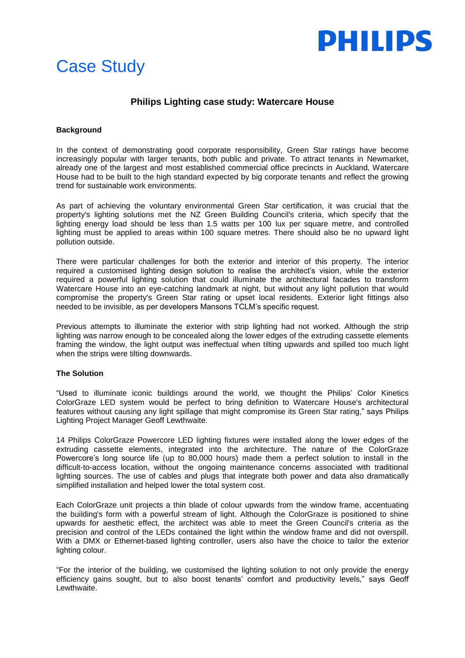

# Case Study

## **Philips Lighting case study: Watercare House**

### **Background**

In the context of demonstrating good corporate responsibility, Green Star ratings have become increasingly popular with larger tenants, both public and private. To attract tenants in Newmarket, already one of the largest and most established commercial office precincts in Auckland, Watercare House had to be built to the high standard expected by big corporate tenants and reflect the growing trend for sustainable work environments.

As part of achieving the voluntary environmental Green Star certification, it was crucial that the property's lighting solutions met the NZ Green Building Council's criteria, which specify that the lighting energy load should be less than 1.5 watts per 100 lux per square metre, and controlled lighting must be applied to areas within 100 square metres. There should also be no upward light pollution outside.

There were particular challenges for both the exterior and interior of this property. The interior required a customised lighting design solution to realise the architect's vision, while the exterior required a powerful lighting solution that could illuminate the architectural facades to transform Watercare House into an eye-catching landmark at night, but without any light pollution that would compromise the property's Green Star rating or upset local residents. Exterior light fittings also needed to be invisible, as per developers Mansons TCLM's specific request.

Previous attempts to illuminate the exterior with strip lighting had not worked. Although the strip lighting was narrow enough to be concealed along the lower edges of the extruding cassette elements framing the window, the light output was ineffectual when tilting upwards and spilled too much light when the strips were tilting downwards.

#### **The Solution**

"Used to illuminate iconic buildings around the world, we thought the Philips' Color Kinetics ColorGraze LED system would be perfect to bring definition to Watercare House's architectural features without causing any light spillage that might compromise its Green Star rating," says Philips Lighting Project Manager Geoff Lewthwaite.

14 Philips ColorGraze Powercore LED lighting fixtures were installed along the lower edges of the extruding cassette elements, integrated into the architecture. The nature of the ColorGraze Powercore's long source life (up to 80,000 hours) made them a perfect solution to install in the difficult-to-access location, without the ongoing maintenance concerns associated with traditional lighting sources. The use of cables and plugs that integrate both power and data also dramatically simplified installation and helped lower the total system cost.

Each ColorGraze unit projects a thin blade of colour upwards from the window frame, accentuating the building's form with a powerful stream of light. Although the ColorGraze is positioned to shine upwards for aesthetic effect, the architect was able to meet the Green Council's criteria as the precision and control of the LEDs contained the light within the window frame and did not overspill. With a DMX or Ethernet-based lighting controller, users also have the choice to tailor the exterior lighting colour.

"For the interior of the building, we customised the lighting solution to not only provide the energy efficiency gains sought, but to also boost tenants' comfort and productivity levels," says Geoff Lewthwaite.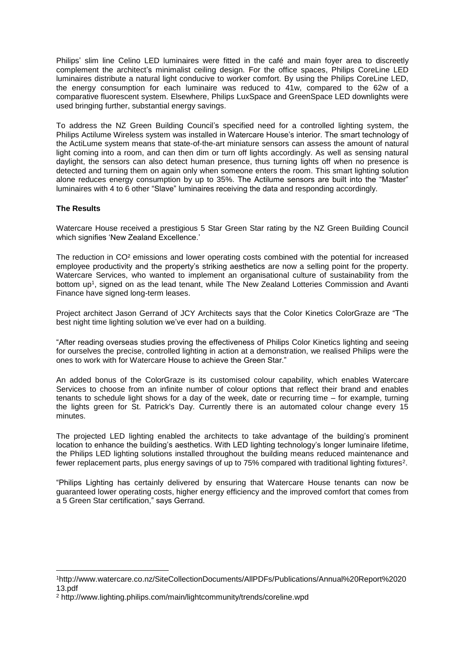Philips' slim line Celino LED luminaires were fitted in the café and main foyer area to discreetly complement the architect's minimalist ceiling design. For the office spaces, Philips CoreLine LED luminaires distribute a natural light conducive to worker comfort. By using the Philips CoreLine LED, the energy consumption for each luminaire was reduced to 41w, compared to the 62w of a comparative fluorescent system. Elsewhere, Philips LuxSpace and GreenSpace LED downlights were used bringing further, substantial energy savings.

To address the NZ Green Building Council's specified need for a controlled lighting system, the Philips Actilume Wireless system was installed in Watercare House's interior. The smart technology of the ActiLume system means that state-of-the-art miniature sensors can assess the amount of natural light coming into a room, and can then dim or turn off lights accordingly. As well as sensing natural daylight, the sensors can also detect human presence, thus turning lights off when no presence is detected and turning them on again only when someone enters the room. This smart lighting solution alone reduces energy consumption by up to 35%. The Actilume sensors are built into the "Master" luminaires with 4 to 6 other "Slave" luminaires receiving the data and responding accordingly.

### **The Results**

1

Watercare House received a prestigious 5 Star Green Star rating by the NZ Green Building Council which signifies 'New Zealand Excellence.'

The reduction in CO² emissions and lower operating costs combined with the potential for increased employee productivity and the property's striking aesthetics are now a selling point for the property. Watercare Services, who wanted to implement an organisational culture of sustainability from the bottom up<sup>1</sup>, signed on as the lead tenant, while The New Zealand Lotteries Commission and Avanti Finance have signed long-term leases.

Project architect Jason Gerrand of JCY Architects says that the Color Kinetics ColorGraze are "The best night time lighting solution we've ever had on a building.

"After reading overseas studies proving the effectiveness of Philips Color Kinetics lighting and seeing for ourselves the precise, controlled lighting in action at a demonstration, we realised Philips were the ones to work with for Watercare House to achieve the Green Star."

An added bonus of the ColorGraze is its customised colour capability, which enables Watercare Services to choose from an infinite number of colour options that reflect their brand and enables tenants to schedule light shows for a day of the week, date or recurring time – for example, turning the lights green for St. Patrick's Day. Currently there is an automated colour change every 15 minutes.

The projected LED lighting enabled the architects to take advantage of the building's prominent location to enhance the building's aesthetics. With LED lighting technology's longer luminaire lifetime, the Philips LED lighting solutions installed throughout the building means reduced maintenance and fewer replacement parts, plus energy savings of up to 75% compared with traditional lighting fixtures<sup>2</sup>.

"Philips Lighting has certainly delivered by ensuring that Watercare House tenants can now be guaranteed lower operating costs, higher energy efficiency and the improved comfort that comes from a 5 Green Star certification," says Gerrand.

<sup>1</sup>http://www.watercare.co.nz/SiteCollectionDocuments/AllPDFs/Publications/Annual%20Report%2020 13.pdf

<sup>2</sup> http://www.lighting.philips.com/main/lightcommunity/trends/coreline.wpd